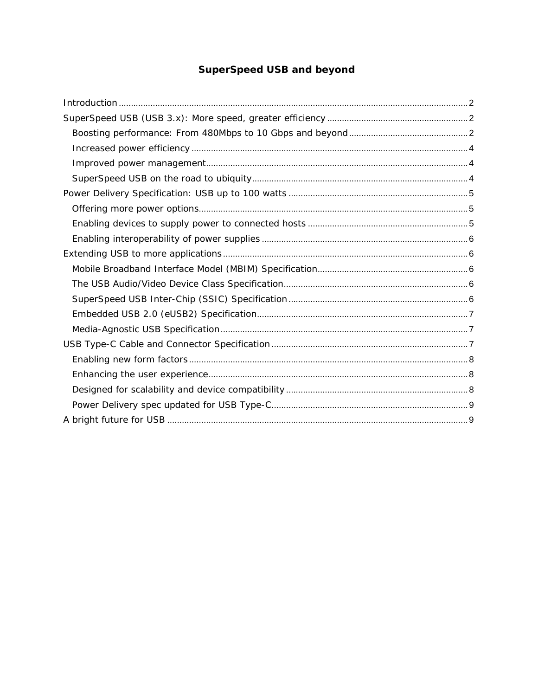# **SuperSpeed USB and beyond**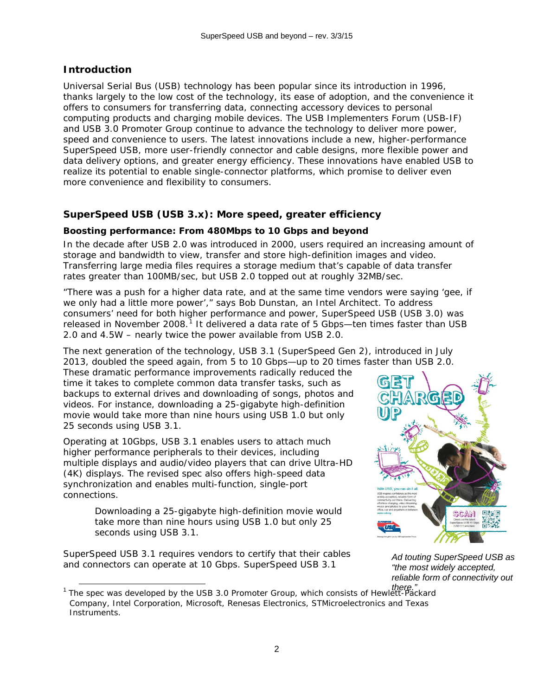## <span id="page-1-0"></span>**Introduction**

Universal Serial Bus (USB) technology has been popular since its introduction in 1996, thanks largely to the low cost of the technology, its ease of adoption, and the convenience it offers to consumers for transferring data, connecting accessory devices to personal computing products and charging mobile devices. The USB Implementers Forum (USB-IF) and USB 3.0 Promoter Group continue to advance the technology to deliver more power, speed and convenience to users. The latest innovations include a new, higher-performance SuperSpeed USB, more user-friendly connector and cable designs, more flexible power and data delivery options, and greater energy efficiency. These innovations have enabled USB to realize its potential to enable single-connector platforms, which promise to deliver even more convenience and flexibility to consumers.

# <span id="page-1-1"></span>**SuperSpeed USB (USB 3.x): More speed, greater efficiency**

#### <span id="page-1-2"></span>*Boosting performance: From 480Mbps to 10 Gbps and beyond*

In the decade after USB 2.0 was introduced in 2000, users required an increasing amount of storage and bandwidth to view, transfer and store high-definition images and video. Transferring large media files requires a storage medium that's capable of data transfer rates greater than 100MB/sec, but USB 2.0 topped out at roughly 32MB/sec.

"There was a push for a higher data rate, and at the same time vendors were saying 'gee, if we only had a little more power'," says Bob Dunstan, an Intel Architect. To address consumers' need for both higher performance and power, SuperSpeed USB (USB 3.0) was released in November 2008.<sup>[1](#page-1-3)</sup> It delivered a data rate of 5 Gbps—ten times faster than USB 2.0 and 4.5W – nearly twice the power available from USB 2.0.

The next generation of the technology, USB 3.1 (SuperSpeed Gen 2), introduced in July 2013, doubled the speed again, from 5 to 10 Gbps—up to 20 times faster than USB 2.0.

These dramatic performance improvements radically reduced the time it takes to complete common data transfer tasks, such as backups to external drives and downloading of songs, photos and videos. For instance, downloading a 25-gigabyte high-definition movie would take more than nine hours using USB 1.0 but only 25 seconds using USB 3.1.

Operating at 10Gbps, USB 3.1 enables users to attach much higher performance peripherals to their devices, including multiple displays and audio/video players that can drive Ultra-HD (4K) displays. The revised spec also offers high-speed data synchronization and enables multi-function, single-port connections.

> *Downloading a 25-gigabyte high-definition movie would take more than nine hours using USB 1.0 but only 25 seconds using USB 3.1.*

SuperSpeed USB 3.1 requires vendors to certify that their cables and connectors can operate at 10 Gbps. SuperSpeed USB 3.1



*Ad touting SuperSpeed USB as "the most widely accepted, reliable form of connectivity out* 

<span id="page-1-3"></span>*there."* <sup>1</sup> The spec was developed by the USB 3.0 Promoter Group, which consists of Hewlett-Packard Company, Intel Corporation, Microsoft, Renesas Electronics, STMicroelectronics and Texas Instruments. j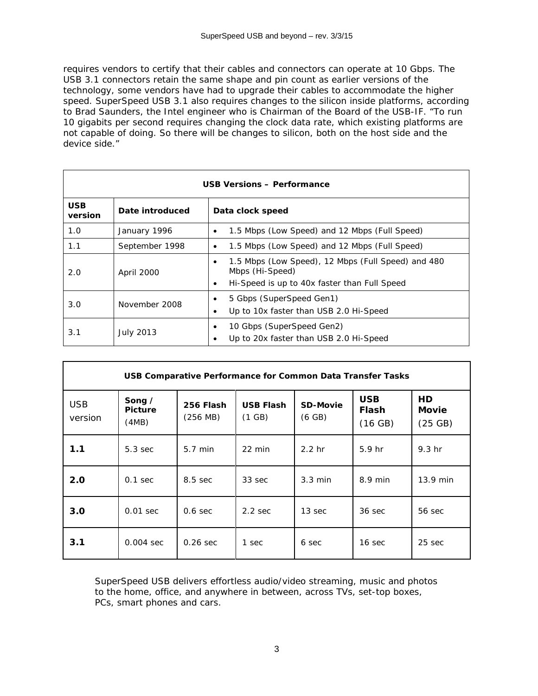requires vendors to certify that their cables and connectors can operate at 10 Gbps. The USB 3.1 connectors retain the same shape and pin count as earlier versions of the technology, some vendors have had to upgrade their cables to accommodate the higher speed. SuperSpeed USB 3.1 also requires changes to the silicon inside platforms, according to Brad Saunders, the Intel engineer who is Chairman of the Board of the USB-IF. "To run 10 gigabits per second requires changing the clock data rate, which existing platforms are not capable of doing. So there will be changes to silicon, both on the host side and the device side."

| <b>USB Versions - Performance</b> |                  |                                                                                                                                         |  |  |  |  |  |  |
|-----------------------------------|------------------|-----------------------------------------------------------------------------------------------------------------------------------------|--|--|--|--|--|--|
| <b>USB</b><br>version             | Date introduced  | Data clock speed                                                                                                                        |  |  |  |  |  |  |
| 1.0                               | January 1996     | 1.5 Mbps (Low Speed) and 12 Mbps (Full Speed)<br>$\bullet$                                                                              |  |  |  |  |  |  |
| 1.1                               | September 1998   | 1.5 Mbps (Low Speed) and 12 Mbps (Full Speed)<br>٠                                                                                      |  |  |  |  |  |  |
| 2.0                               | April 2000       | 1.5 Mbps (Low Speed), 12 Mbps (Full Speed) and 480<br>٠<br>Mbps (Hi-Speed)<br>Hi-Speed is up to 40x faster than Full Speed<br>$\bullet$ |  |  |  |  |  |  |
| 3.0                               | November 2008    | 5 Gbps (SuperSpeed Gen1)<br>٠<br>Up to 10x faster than USB 2.0 Hi-Speed<br>٠                                                            |  |  |  |  |  |  |
| 3.1                               | <b>July 2013</b> | 10 Gbps (SuperSpeed Gen2)<br>٠<br>Up to 20x faster than USB 2.0 Hi-Speed                                                                |  |  |  |  |  |  |

| <b>USB Comparative Performance for Common Data Transfer Tasks</b> |                                          |                                 |                            |                           |                                |                               |  |  |  |  |
|-------------------------------------------------------------------|------------------------------------------|---------------------------------|----------------------------|---------------------------|--------------------------------|-------------------------------|--|--|--|--|
| <b>USB</b><br>version                                             | Song $\angle$<br><b>Picture</b><br>(4MB) | 256 Flash<br>$(256 \text{ MB})$ | <b>USB Flash</b><br>(1 GB) | <b>SD-Movie</b><br>(6 GB) | <b>USB</b><br>Flash<br>(16 GB) | <b>HD</b><br>Movie<br>(25 GB) |  |  |  |  |
| 1.1                                                               | $5.3$ sec                                | $5.7$ min                       | $22 \text{ min}$           | 2.2 <sub>hr</sub>         | 5.9 <sub>hr</sub>              | 9.3 <sub>hr</sub>             |  |  |  |  |
| 2.0                                                               | $0.1$ sec                                | 8.5 sec                         | 33 sec                     | $3.3 \text{ min}$         | $8.9$ min                      | $13.9$ min                    |  |  |  |  |
| 3.0                                                               | $0.01$ sec                               | $0.6 \text{ sec}$               | $2.2$ sec                  | 13 sec                    | $36 \text{ sec}$               | 56 sec                        |  |  |  |  |
| 3.1                                                               | $0.004$ sec                              | $0.26$ sec                      | 1 sec                      | 6 sec                     | 16 sec                         | 25 sec                        |  |  |  |  |

*SuperSpeed USB delivers effortless audio/video streaming, music and photos to the home, office, and anywhere in between, across TVs, set-top boxes, PCs, smart phones and cars.*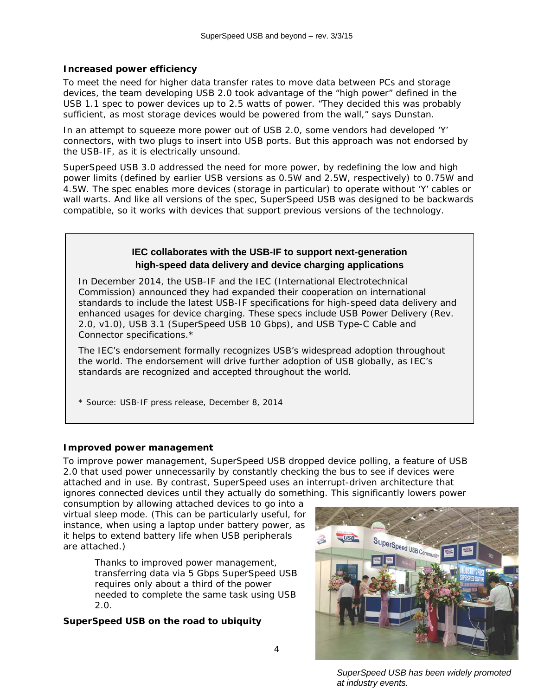### <span id="page-3-0"></span>*Increased power efficiency*

To meet the need for higher data transfer rates to move data between PCs and storage devices, the team developing USB 2.0 took advantage of the "high power" defined in the USB 1.1 spec to power devices up to 2.5 watts of power. "They decided this was probably sufficient, as most storage devices would be powered from the wall," says Dunstan.

In an attempt to squeeze more power out of USB 2.0, some vendors had developed 'Y' connectors, with two plugs to insert into USB ports. But this approach was not endorsed by the USB-IF, as it is electrically unsound.

SuperSpeed USB 3.0 addressed the need for more power, by redefining the low and high power limits (defined by earlier USB versions as 0.5W and 2.5W, respectively) to 0.75W and 4.5W. The spec enables more devices (storage in particular) to operate without 'Y' cables or wall warts. And like all versions of the spec, SuperSpeed USB was designed to be backwards compatible, so it works with devices that support previous versions of the technology.

## **IEC collaborates with the USB-IF to support next-generation high-speed data delivery and device charging applications**

In December 2014, the USB-IF and the IEC (International Electrotechnical Commission) announced they had expanded their cooperation on international standards to include the latest USB-IF specifications for high-speed data delivery and enhanced usages for device charging. These specs include USB Power Delivery (Rev. 2.0, v1.0), USB 3.1 (SuperSpeed USB 10 Gbps), and USB Type-C Cable and Connector specifications.\*

The IEC's endorsement formally recognizes USB's widespread adoption throughout the world. The endorsement will drive further adoption of USB globally, as IEC's standards are recognized and accepted throughout the world.

\* Source: USB-IF press release, December 8, 2014

### <span id="page-3-1"></span>*Improved power management*

To improve power management, SuperSpeed USB dropped device polling, a feature of USB 2.0 that used power unnecessarily by constantly checking the bus to see if devices were attached and in use. By contrast, SuperSpeed uses an interrupt-driven architecture that ignores connected devices until they actually do something. This significantly lowers power

consumption by allowing attached devices to go into a virtual sleep mode. (This can be particularly useful, for instance, when using a laptop under battery power, as it helps to extend battery life when USB peripherals are attached.)

> *Thanks to improved power management, transferring data via 5 Gbps SuperSpeed USB requires only about a third of the power needed to complete the same task using USB 2.0.*

# <span id="page-3-2"></span>*SuperSpeed USB on the road to ubiquity*



*SuperSpeed USB has been widely promoted at industry events.*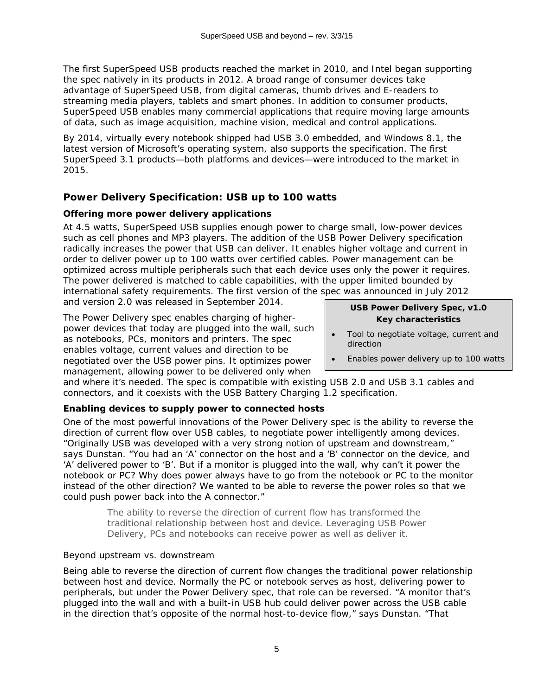The first SuperSpeed USB products reached the market in 2010, and Intel began supporting the spec natively in its products in 2012. A broad range of consumer devices take advantage of SuperSpeed USB, from digital cameras, thumb drives and E-readers to streaming media players, tablets and smart phones. In addition to consumer products, SuperSpeed USB enables many commercial applications that require moving large amounts of data, such as image acquisition, machine vision, medical and control applications.

By 2014, virtually every notebook shipped had USB 3.0 embedded, and Windows 8.1, the latest version of Microsoft's operating system, also supports the specification. The first SuperSpeed 3.1 products—both platforms and devices—were introduced to the market in 2015.

# <span id="page-4-0"></span>**Power Delivery Specification: USB up to 100 watts**

### <span id="page-4-1"></span>*Offering more power delivery applications*

At 4.5 watts, SuperSpeed USB supplies enough power to charge small, low-power devices such as cell phones and MP3 players. The addition of the USB Power Delivery specification radically increases the power that USB can deliver. It enables higher voltage and current in order to deliver power up to 100 watts over certified cables. Power management can be optimized across multiple peripherals such that each device uses only the power it requires. The power delivered is matched to cable capabilities, with the upper limited bounded by international safety requirements. The first version of the spec was announced in July 2012

and version 2.0 was released in September 2014.

The Power Delivery spec enables charging of higherpower devices that today are plugged into the wall, such as notebooks, PCs, monitors and printers. The spec enables voltage, current values and direction to be negotiated over the USB power pins. It optimizes power management, allowing power to be delivered only when

#### **USB Power Delivery Spec, v1.0** *Key characteristics*

- Tool to negotiate voltage, current and direction
- Enables power delivery up to 100 watts

and where it's needed. The spec is compatible with existing USB 2.0 and USB 3.1 cables and connectors, and it coexists with the USB Battery Charging 1.2 specification.

### <span id="page-4-2"></span>*Enabling devices to supply power to connected hosts*

One of the most powerful innovations of the Power Delivery spec is the ability to reverse the direction of current flow over USB cables, to negotiate power intelligently among devices. "Originally USB was developed with a very strong notion of upstream and downstream," says Dunstan. "You had an 'A' connector on the host and a 'B' connector on the device, and 'A' delivered power to 'B'. But if a monitor is plugged into the wall, why can't it power the notebook or PC? Why does power always have to go from the notebook or PC to the monitor instead of the other direction? We wanted to be able to reverse the power roles so that we could push power back into the A connector."

> *The ability to reverse the direction of current flow has transformed the traditional relationship between host and device. Leveraging USB Power Delivery, PCs and notebooks can receive power as well as deliver it.*

### *Beyond upstream vs. downstream*

Being able to reverse the direction of current flow changes the traditional power relationship between host and device. Normally the PC or notebook serves as host, delivering power to peripherals, but under the Power Delivery spec, that role can be reversed. "A monitor that's plugged into the wall and with a built-in USB hub could deliver power across the USB cable in the direction that's opposite of the normal host-to-device flow," says Dunstan. "That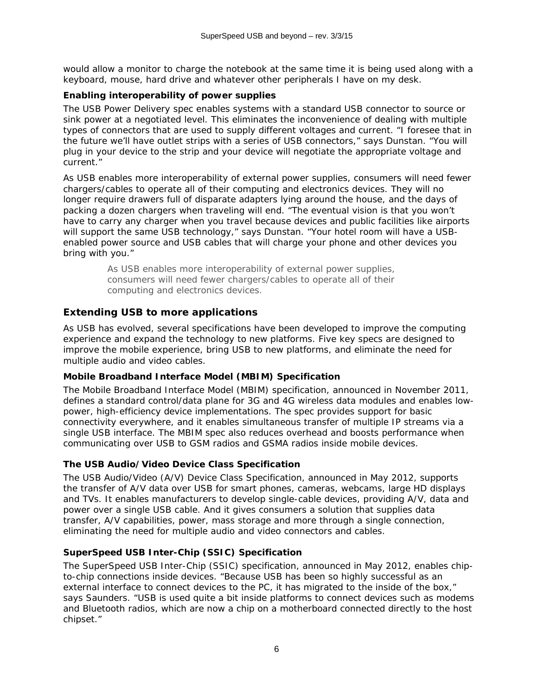would allow a monitor to charge the notebook at the same time it is being used along with a keyboard, mouse, hard drive and whatever other peripherals I have on my desk.

### <span id="page-5-0"></span>*Enabling interoperability of power supplies*

The USB Power Delivery spec enables systems with a standard USB connector to source or sink power at a negotiated level. This eliminates the inconvenience of dealing with multiple types of connectors that are used to supply different voltages and current. "I foresee that in the future we'll have outlet strips with a series of USB connectors," says Dunstan. "You will plug in your device to the strip and your device will negotiate the appropriate voltage and current."

As USB enables more interoperability of external power supplies, consumers will need fewer chargers/cables to operate all of their computing and electronics devices. They will no longer require drawers full of disparate adapters lying around the house, and the days of packing a dozen chargers when traveling will end. "The eventual vision is that you won't have to carry any charger when you travel because devices and public facilities like airports will support the same USB technology," says Dunstan. "Your hotel room will have a USBenabled power source and USB cables that will charge your phone and other devices you bring with you."

> *As USB enables more interoperability of external power supplies, consumers will need fewer chargers/cables to operate all of their computing and electronics devices.*

# <span id="page-5-1"></span>**Extending USB to more applications**

As USB has evolved, several specifications have been developed to improve the computing experience and expand the technology to new platforms. Five key specs are designed to improve the mobile experience, bring USB to new platforms, and eliminate the need for multiple audio and video cables.

### <span id="page-5-2"></span>*Mobile Broadband Interface Model (MBIM) Specification*

The Mobile Broadband Interface Model (MBIM) specification, announced in November 2011, defines a standard control/data plane for 3G and 4G wireless data modules and enables lowpower, high-efficiency device implementations. The spec provides support for basic connectivity everywhere, and it enables simultaneous transfer of multiple IP streams via a single USB interface. The MBIM spec also reduces overhead and boosts performance when communicating over USB to GSM radios and GSMA radios inside mobile devices.

### <span id="page-5-3"></span>*The USB Audio/Video Device Class Specification*

The USB Audio/Video (A/V) Device Class Specification, announced in May 2012, supports the transfer of A/V data over USB for smart phones, cameras, webcams, large HD displays and TVs. It enables manufacturers to develop single-cable devices, providing A/V, data and power over a single USB cable. And it gives consumers a solution that supplies data transfer, A/V capabilities, power, mass storage and more through a single connection, eliminating the need for multiple audio and video connectors and cables.

### <span id="page-5-4"></span>*SuperSpeed USB Inter-Chip (SSIC) Specification*

The SuperSpeed USB Inter-Chip (SSIC) specification, announced in May 2012, enables chipto-chip connections inside devices. "Because USB has been so highly successful as an external interface to connect devices to the PC, it has migrated to the inside of the box," says Saunders. "USB is used quite a bit inside platforms to connect devices such as modems and Bluetooth radios, which are now a chip on a motherboard connected directly to the host chipset."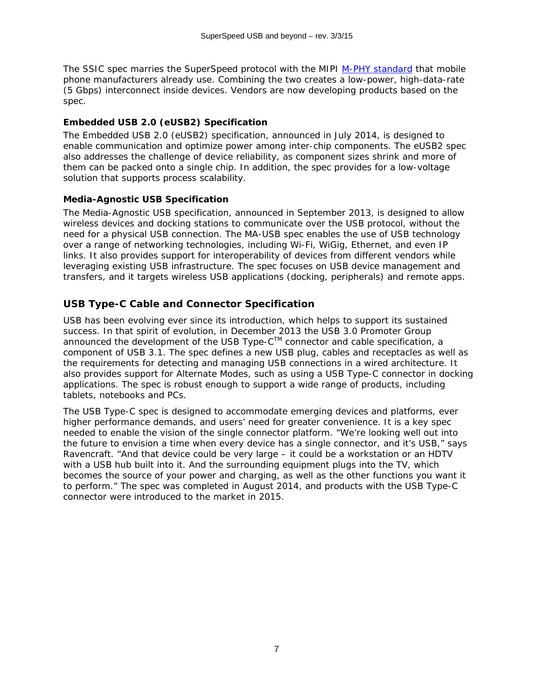The SSIC spec marries the SuperSpeed protocol with the MIPI [M-PHY standard](http://mipi.org/specifications/physical-layer) that mobile phone manufacturers already use. Combining the two creates a low-power, high-data-rate (5 Gbps) interconnect inside devices. Vendors are now developing products based on the spec.

### <span id="page-6-0"></span>*Embedded USB 2.0 (eUSB2) Specification*

The Embedded USB 2.0 (eUSB2) specification, announced in July 2014, is designed to enable communication and optimize power among inter-chip components. The eUSB2 spec also addresses the challenge of device reliability, as component sizes shrink and more of them can be packed onto a single chip. In addition, the spec provides for a low-voltage solution that supports process scalability.

### <span id="page-6-1"></span>*Media-Agnostic USB Specification*

The Media-Agnostic USB specification, announced in September 2013, is designed to allow wireless devices and docking stations to communicate over the USB protocol, without the need for a physical USB connection. The MA-USB spec enables the use of USB technology over a range of networking technologies, including Wi-Fi, WiGig, Ethernet, and even IP links. It also provides support for interoperability of devices from different vendors while leveraging existing USB infrastructure. The spec focuses on USB device management and transfers, and it targets wireless USB applications (docking, peripherals) and remote apps.

# <span id="page-6-2"></span>**USB Type-C Cable and Connector Specification**

USB has been evolving ever since its introduction, which helps to support its sustained success. In that spirit of evolution, in December 2013 the USB 3.0 Promoter Group announced the development of the USB Type-CTM connector and cable specification, a component of USB 3.1. The spec defines a new USB plug, cables and receptacles as well as the requirements for detecting and managing USB connections in a wired architecture. It also provides support for Alternate Modes, such as using a USB Type-C connector in docking applications. The spec is robust enough to support a wide range of products, including tablets, notebooks and PCs.

The USB Type-C spec is designed to accommodate emerging devices and platforms, ever higher performance demands, and users' need for greater convenience. It is a key spec needed to enable the vision of the single connector platform. "We're looking well out into the future to envision a time when every device has a single connector, and it's USB," says Ravencraft. "And that device could be very large – it could be a workstation or an HDTV with a USB hub built into it. And the surrounding equipment plugs into the TV, which becomes the source of your power and charging, as well as the other functions you want it to perform." The spec was completed in August 2014, and products with the USB Type-C connector were introduced to the market in 2015.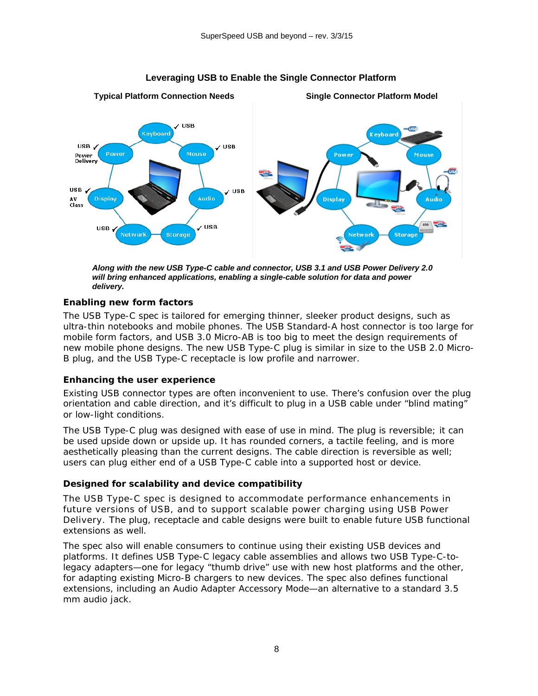

#### **Leveraging USB to Enable the Single Connector Platform**

*Along with the new USB Type-C cable and connector, USB 3.1 and USB Power Delivery 2.0 will bring enhanced applications, enabling a single-cable solution for data and power delivery.* 

#### <span id="page-7-0"></span>*Enabling new form factors*

The USB Type-C spec is tailored for emerging thinner, sleeker product designs, such as ultra-thin notebooks and mobile phones. The USB Standard-A host connector is too large for mobile form factors, and USB 3.0 Micro-AB is too big to meet the design requirements of new mobile phone designs. The new USB Type-C plug is similar in size to the USB 2.0 Micro-B plug, and the USB Type-C receptacle is low profile and narrower.

#### <span id="page-7-1"></span>*Enhancing the user experience*

Existing USB connector types are often inconvenient to use. There's confusion over the plug orientation and cable direction, and it's difficult to plug in a USB cable under "blind mating" or low-light conditions.

The USB Type-C plug was designed with ease of use in mind. The plug is reversible; it can be used upside down or upside up. It has rounded corners, a tactile feeling, and is more aesthetically pleasing than the current designs. The cable direction is reversible as well; users can plug either end of a USB Type-C cable into a supported host or device.

#### <span id="page-7-2"></span>*Designed for scalability and device compatibility*

The USB Type-C spec is designed to accommodate performance enhancements in future versions of USB, and to support scalable power charging using USB Power Delivery. The plug, receptacle and cable designs were built to enable future USB functional extensions as well.

The spec also will enable consumers to continue using their existing USB devices and platforms. It defines USB Type-C legacy cable assemblies and allows two USB Type-C-tolegacy adapters—one for legacy "thumb drive" use with new host platforms and the other, for adapting existing Micro-B chargers to new devices. The spec also defines functional extensions, including an Audio Adapter Accessory Mode—an alternative to a standard 3.5 mm audio jack.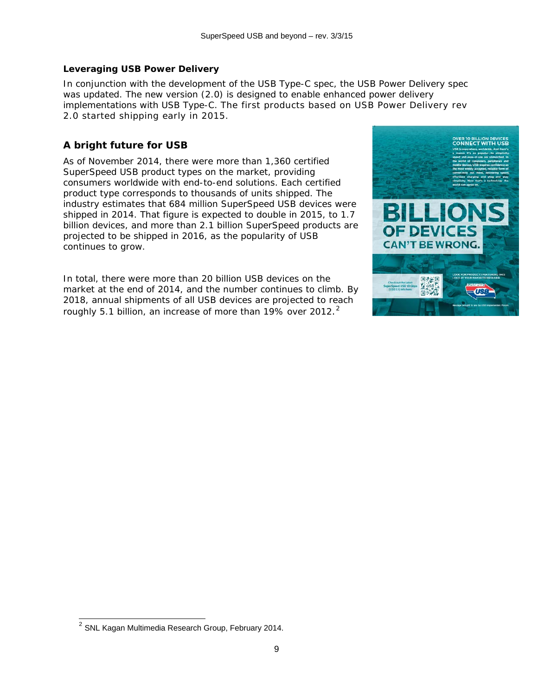### <span id="page-8-0"></span>*Leveraging USB Power Delivery*

In conjunction with the development of the USB Type-C spec, the USB Power Delivery spec was updated. The new version (2.0) is designed to enable enhanced power delivery implementations with USB Type-C. The first products based on USB Power Delivery rev 2.0 started shipping early in 2015.

# <span id="page-8-1"></span>**A bright future for USB**

As of November 2014, there were more than 1,360 certified SuperSpeed USB product types on the market, providing consumers worldwide with end-to-end solutions. Each certified product type corresponds to thousands of units shipped. The industry estimates that 684 million SuperSpeed USB devices were shipped in 2014. That figure is expected to double in 2015, to 1.7 billion devices, and more than 2.1 billion SuperSpeed products are projected to be shipped in 2016, as the popularity of USB continues to grow.

In total, there were more than 20 billion USB devices on the market at the end of 2014, and the number continues to climb. By 2018, annual shipments of all USB devices are projected to reach roughly 5.1 billion, an increase of more than 19% over [2](#page-8-2)012. $^2$ 



<span id="page-8-2"></span> $^2$  SNL Kagan Multimedia Research Group, February 2014. j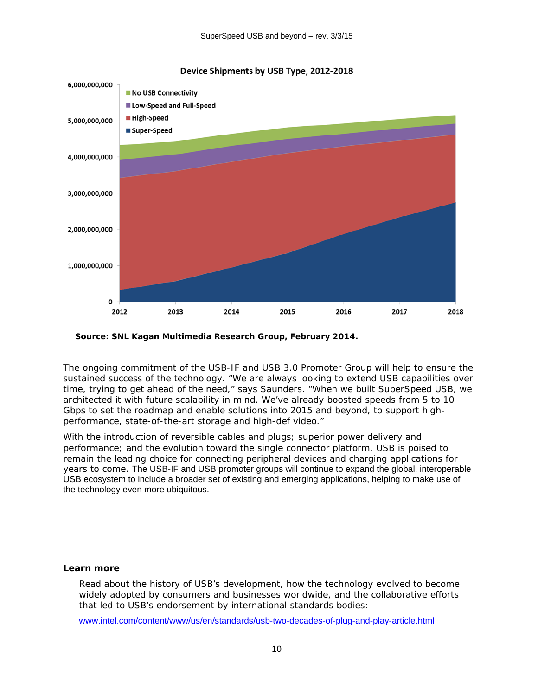

*Source: SNL Kagan Multimedia Research Group, February 2014.* 

The ongoing commitment of the USB-IF and USB 3.0 Promoter Group will help to ensure the sustained success of the technology. "We are always looking to extend USB capabilities over time, trying to get ahead of the need," says Saunders. "When we built SuperSpeed USB, we architected it with future scalability in mind. We've already boosted speeds from 5 to 10 Gbps to set the roadmap and enable solutions into 2015 and beyond, to support highperformance, state-of-the-art storage and high-def video."

With the introduction of reversible cables and plugs; superior power delivery and performance; and the evolution toward the single connector platform, USB is poised to remain the leading choice for connecting peripheral devices and charging applications for years to come. The USB-IF and USB promoter groups will continue to expand the global, interoperable USB ecosystem to include a broader set of existing and emerging applications, helping to make use of the technology even more ubiquitous.

#### *Learn more*

Read about the history of USB's development, how the technology evolved to become widely adopted by consumers and businesses worldwide, and the collaborative efforts that led to USB's endorsement by international standards bodies:

[www.intel.com/content/www/us/en/standards/usb-two-decades-of-plug-and-play-article.html](http://www.intel.com/content/www/us/en/standards/usb-two-decades-of-plug-and-play-article.html)